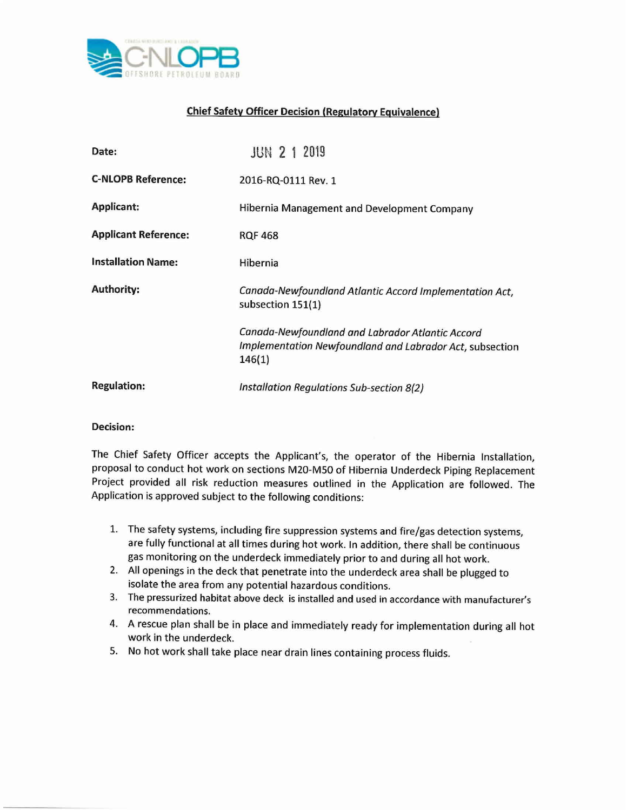

## **Chief Safety Officer Decision (Regulatory Equivalence)**

| Date:                       | <b>JUN 2 1 2019</b>                                                                                                    |
|-----------------------------|------------------------------------------------------------------------------------------------------------------------|
| <b>C-NLOPB Reference:</b>   | 2016-RQ-0111 Rev. 1                                                                                                    |
| <b>Applicant:</b>           | Hibernia Management and Development Company                                                                            |
| <b>Applicant Reference:</b> | <b>RQF 468</b>                                                                                                         |
| <b>Installation Name:</b>   | Hibernia                                                                                                               |
| <b>Authority:</b>           | Canada-Newfoundland Atlantic Accord Implementation Act,<br>subsection 151(1)                                           |
|                             | Canada-Newfoundland and Labrador Atlantic Accord<br>Implementation Newfoundland and Labrador Act, subsection<br>146(1) |
| <b>Regulation:</b>          | Installation Regulations Sub-section 8(2)                                                                              |

## **Decision:**

The Chief Safety Officer accepts the Applicant's, the operator of the Hibernia Installation, proposal to conduct hot work on sections M20-M50 of Hibernia Underdeck Piping Replacement Project provided all risk reduction measures outlined in the Application are followed. The Application is approved subject to the following conditions:

- 1. The safety systems, including fire suppression systems and fire/gas detection systems, are fully functional at all times during hot work. In addition, there shall be continuous gas monitoring on the underdeck immediately prior to and during all hot work.
- 2. All openings in the deck that penetrate into the underdeck area shall be plugged to isolate the area from any potential hazardous conditions.
- 3. The pressurized habitat above deck is installed and used in accordance with manufacturer's recommendations.
- 4. A rescue plan shall be in place and immediately ready for implementation during all hot work in the underdeck.
- 5. No hot work shall take place near drain lines containing process fluids.